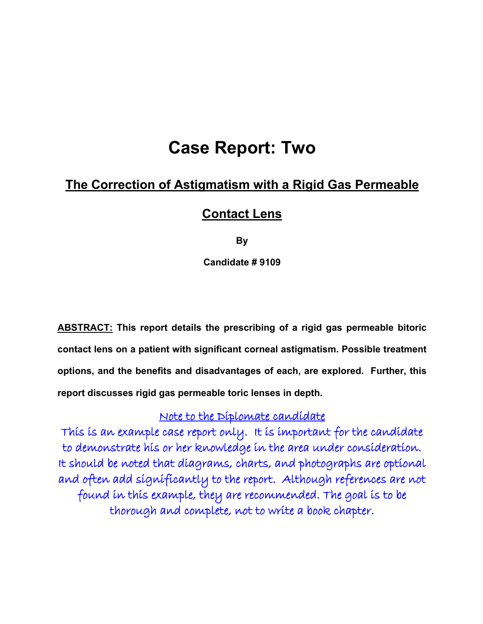# **Case Report: Two**

## **The Correction of Astigmatism with a Rigid Gas Permeable**

## **Contact Lens**

**By**

**Candidate # 9109**

**ABSTRACT: This report details the prescribing of a rigid gas permeable bitoric contact lens on a patient with significant corneal astigmatism. Possible treatment options, and the benefits and disadvantages of each, are explored. Further, this report discusses rigid gas permeable toric lenses in depth.**

## Note to the Diplomate candidate

This is an example case report only. It is important for the candidate to demonstrate his or her knowledge in the area under consideration. It should be noted that diagrams, charts, and photographs are optional and often add significantly to the report. Although references are not found in this example, they are recommended. The goal is to be thorough and complete, not to write a book chapter.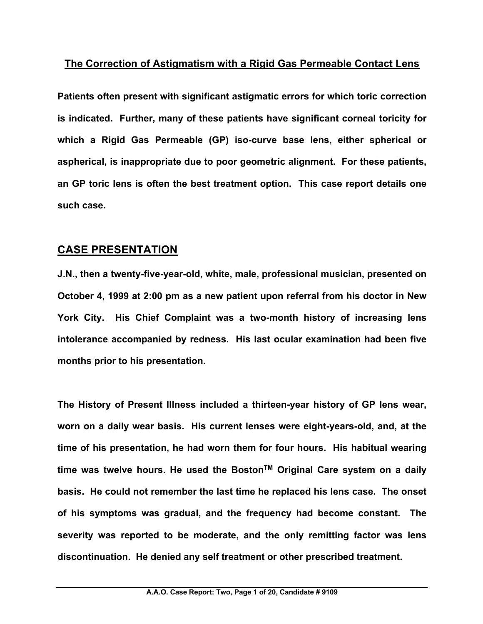## **The Correction of Astigmatism with a Rigid Gas Permeable Contact Lens**

**Patients often present with significant astigmatic errors for which toric correction is indicated. Further, many of these patients have significant corneal toricity for which a Rigid Gas Permeable (GP) iso-curve base lens, either spherical or aspherical, is inappropriate due to poor geometric alignment. For these patients, an GP toric lens is often the best treatment option. This case report details one such case.**

## **CASE PRESENTATION**

**J.N., then a twenty-five-year-old, white, male, professional musician, presented on October 4, 1999 at 2:00 pm as a new patient upon referral from his doctor in New York City. His Chief Complaint was a two-month history of increasing lens intolerance accompanied by redness. His last ocular examination had been five months prior to his presentation.**

**The History of Present Illness included a thirteen-year history of GP lens wear, worn on a daily wear basis. His current lenses were eight-years-old, and, at the time of his presentation, he had worn them for four hours. His habitual wearing time was twelve hours. He used the BostonTM Original Care system on a daily basis. He could not remember the last time he replaced his lens case. The onset of his symptoms was gradual, and the frequency had become constant. The severity was reported to be moderate, and the only remitting factor was lens discontinuation. He denied any self treatment or other prescribed treatment.**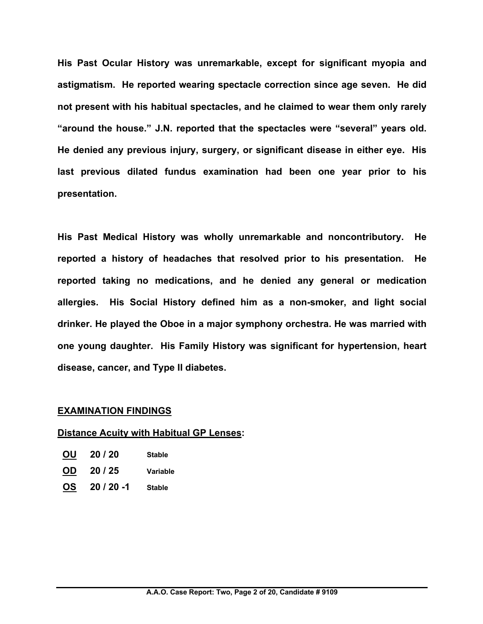**His Past Ocular History was unremarkable, except for significant myopia and astigmatism. He reported wearing spectacle correction since age seven. He did not present with his habitual spectacles, and he claimed to wear them only rarely "around the house." J.N. reported that the spectacles were "several" years old. He denied any previous injury, surgery, or significant disease in either eye. His last previous dilated fundus examination had been one year prior to his presentation.**

**His Past Medical History was wholly unremarkable and noncontributory. He reported a history of headaches that resolved prior to his presentation. He reported taking no medications, and he denied any general or medication allergies. His Social History defined him as a non-smoker, and light social drinker. He played the Oboe in a major symphony orchestra. He was married with one young daughter. His Family History was significant for hypertension, heart disease, cancer, and Type II diabetes.**

#### **EXAMINATION FINDINGS**

#### **Distance Acuity with Habitual GP Lenses:**

| <b>OU</b> | 20/20 | <b>Stable</b> |
|-----------|-------|---------------|
| <b>OD</b> | 20/25 | Variable      |

**OS 20 / 20 -1 Stable**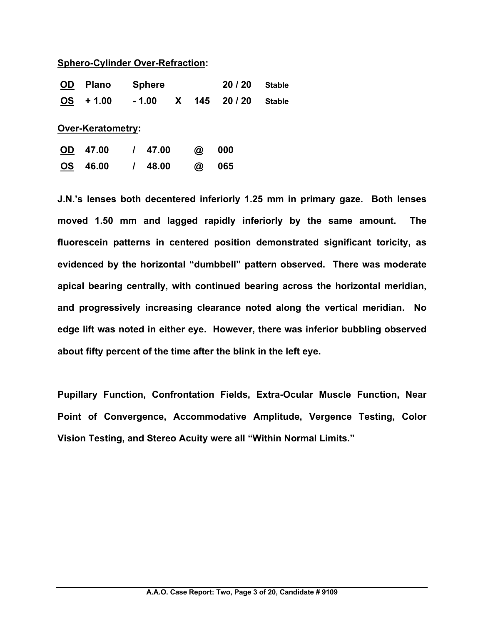#### **Sphero-Cylinder Over-Refraction:**

| <b>OD</b> | <b>Plano</b>             | <b>Sphere</b> |          |                      | 20/20 | <b>Stable</b> |
|-----------|--------------------------|---------------|----------|----------------------|-------|---------------|
| <b>OS</b> | $+1.00$                  | - 1.00        | <b>X</b> | 145                  | 20/20 | <b>Stable</b> |
|           | <b>Over-Keratometry:</b> |               |          |                      |       |               |
| <b>OD</b> | 47.00                    | / 47.00       |          | $^{\textregistered}$ | 000   |               |
| <b>OS</b> | 46.00                    | 48.00         |          | @                    | 065   |               |

**J.N.'s lenses both decentered inferiorly 1.25 mm in primary gaze. Both lenses moved 1.50 mm and lagged rapidly inferiorly by the same amount. The fluorescein patterns in centered position demonstrated significant toricity, as evidenced by the horizontal "dumbbell" pattern observed. There was moderate apical bearing centrally, with continued bearing across the horizontal meridian, and progressively increasing clearance noted along the vertical meridian. No edge lift was noted in either eye. However, there was inferior bubbling observed about fifty percent of the time after the blink in the left eye.** 

**Pupillary Function, Confrontation Fields, Extra-Ocular Muscle Function, Near Point of Convergence, Accommodative Amplitude, Vergence Testing, Color Vision Testing, and Stereo Acuity were all "Within Normal Limits."**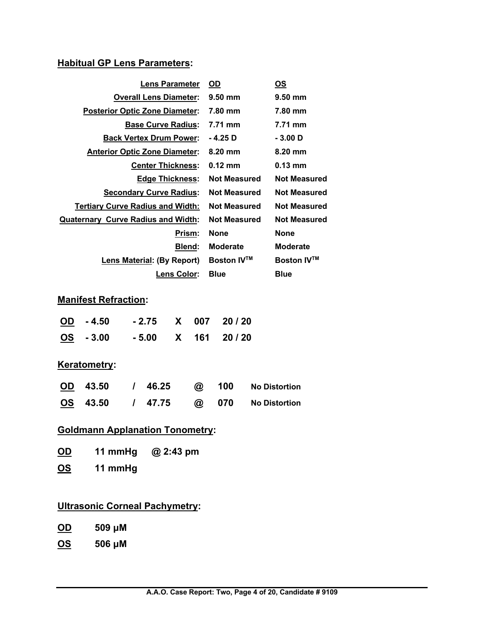## **Habitual GP Lens Parameters:**

| <b>Lens Parameter</b>                     | <b>OD</b>           | OS                  |
|-------------------------------------------|---------------------|---------------------|
| <b>Overall Lens Diameter:</b>             | $9.50 \text{ mm}$   | $9.50$ mm           |
| <b>Posterior Optic Zone Diameter:</b>     | 7.80 mm             | 7.80 mm             |
| <b>Base Curve Radius:</b>                 | 7.71 mm             | 7.71 mm             |
| <b>Back Vertex Drum Power:</b>            | - 4.25 D            | $-3.00$ D           |
| <b>Anterior Optic Zone Diameter:</b>      | $8.20 \text{ mm}$   | $8.20 \text{ mm}$   |
| <b>Center Thickness:</b>                  | $0.12 \text{ mm}$   | $0.13 \text{ mm}$   |
| <b>Edge Thickness:</b>                    | <b>Not Measured</b> | <b>Not Measured</b> |
| <b>Secondary Curve Radius:</b>            | <b>Not Measured</b> | <b>Not Measured</b> |
| <b>Tertiary Curve Radius and Width:</b>   | <b>Not Measured</b> | <b>Not Measured</b> |
| <b>Quaternary Curve Radius and Width:</b> | <b>Not Measured</b> | <b>Not Measured</b> |
| Prism:                                    | <b>None</b>         | <b>None</b>         |
| <b>Blend:</b>                             | <b>Moderate</b>     | <b>Moderate</b>     |
| <b>Lens Material: (By Report)</b>         | <b>Boston IV™</b>   | <b>Boston IV™</b>   |
| <b>Lens Color:</b>                        | <b>Blue</b>         | Blue                |

## **Manifest Refraction:**

| $\underline{OD}$ - 4.50 |  | $-2.75$ X 007 20/20 |
|-------------------------|--|---------------------|
| $\underline{OS}$ - 3.00 |  | $-5.00$ X 161 20/20 |

## **Keratometry:**

| OD 43.50 | $/$ 46.25 | @ 100 | No Distortion       |
|----------|-----------|-------|---------------------|
| OS 43.50 | / 47.75   |       | @ 070 No Distortion |

## **Goldmann Applanation Tonometry:**

| <u>OD</u> | 11 mmHg | @ 2:43 pm |
|-----------|---------|-----------|
| <b>OS</b> | 11 mmHg |           |

## **Ultrasonic Corneal Pachymetry:**

| <b>OD</b> | 509 µM |  |
|-----------|--------|--|
|           |        |  |

**OS 506 μM**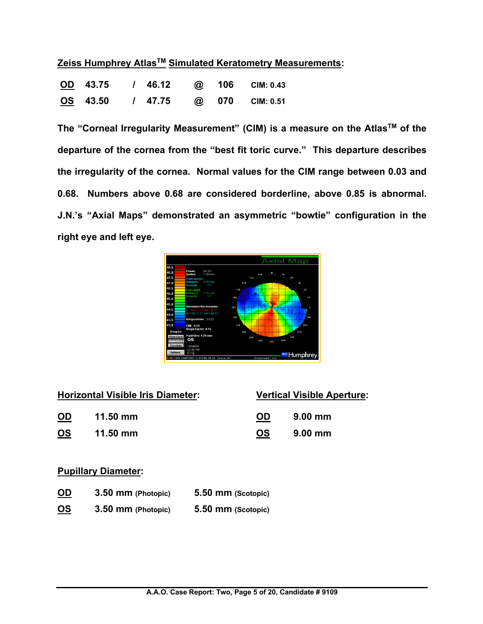|  |  | Zeiss Humphrey Atlas <sup>™</sup> Simulated Keratometry Measurements: |
|--|--|-----------------------------------------------------------------------|
|  |  |                                                                       |

|  |  |  | OD 43.75 / 46.12 @ 106 CIM: 0.43 |
|--|--|--|----------------------------------|
|  |  |  | OS 43.50 / 47.75 @ 070 CIM: 0.51 |

**The "Corneal Irregularity Measurement" (CIM) is a measure on the AtlasTM of the departure of the cornea from the "best fit toric curve." This departure describes the irregularity of the cornea. Normal values for the CIM range between 0.03 and 0.68. Numbers above 0.68 are considered borderline, above 0.85 is abnormal. J.N.'s "Axial Maps" demonstrated an asymmetric "bowtie" configuration in the right eye and left eye.** 



|           | <b>Horizontal Visible Iris Diameter:</b> |           | <b>Vertical Visible Aperture:</b> |
|-----------|------------------------------------------|-----------|-----------------------------------|
| <b>OD</b> | $11.50$ mm                               | <b>OD</b> | $9.00 \text{ mm}$                 |
| <u>os</u> | $11.50$ mm                               | <b>OS</b> | $9.00 \text{ mm}$                 |

## **Pupillary Diameter:**

| <b>OD</b> | 3.50 mm (Photopic) | 5.50 mm (Scotopic) |
|-----------|--------------------|--------------------|
| <b>OS</b> | 3.50 mm (Photopic) | 5.50 mm (Scotopic) |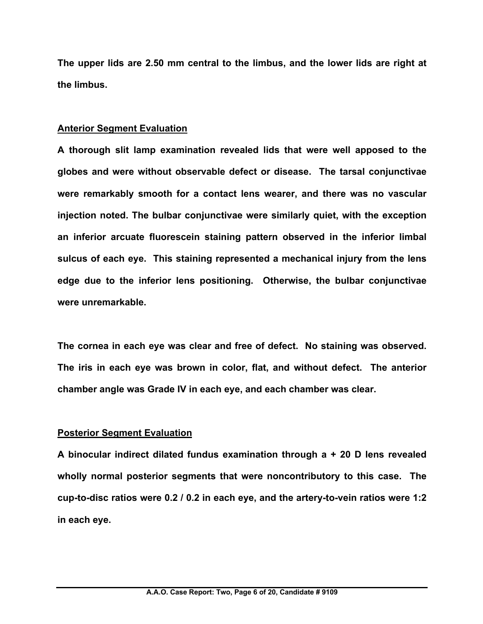**The upper lids are 2.50 mm central to the limbus, and the lower lids are right at the limbus.**

#### **Anterior Segment Evaluation**

**A thorough slit lamp examination revealed lids that were well apposed to the globes and were without observable defect or disease. The tarsal conjunctivae were remarkably smooth for a contact lens wearer, and there was no vascular injection noted. The bulbar conjunctivae were similarly quiet, with the exception an inferior arcuate fluorescein staining pattern observed in the inferior limbal sulcus of each eye. This staining represented a mechanical injury from the lens edge due to the inferior lens positioning. Otherwise, the bulbar conjunctivae were unremarkable.**

**The cornea in each eye was clear and free of defect. No staining was observed. The iris in each eye was brown in color, flat, and without defect. The anterior chamber angle was Grade IV in each eye, and each chamber was clear.** 

#### **Posterior Segment Evaluation**

**A binocular indirect dilated fundus examination through a + 20 D lens revealed wholly normal posterior segments that were noncontributory to this case. The cup-to-disc ratios were 0.2 / 0.2 in each eye, and the artery-to-vein ratios were 1:2 in each eye.**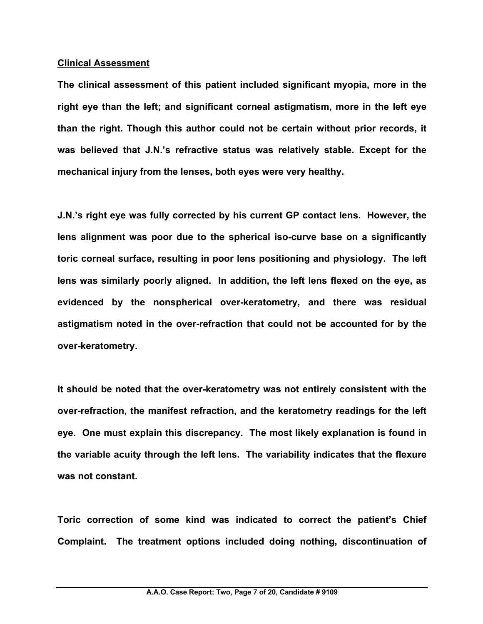#### **Clinical Assessment**

**The clinical assessment of this patient included significant myopia, more in the right eye than the left; and significant corneal astigmatism, more in the left eye than the right. Though this author could not be certain without prior records, it was believed that J.N.'s refractive status was relatively stable. Except for the mechanical injury from the lenses, both eyes were very healthy.**

**J.N.'s right eye was fully corrected by his current GP contact lens. However, the lens alignment was poor due to the spherical iso-curve base on a significantly toric corneal surface, resulting in poor lens positioning and physiology. The left lens was similarly poorly aligned. In addition, the left lens flexed on the eye, as evidenced by the nonspherical over-keratometry, and there was residual astigmatism noted in the over-refraction that could not be accounted for by the over-keratometry.** 

**It should be noted that the over-keratometry was not entirely consistent with the over-refraction, the manifest refraction, and the keratometry readings for the left eye. One must explain this discrepancy. The most likely explanation is found in the variable acuity through the left lens. The variability indicates that the flexure was not constant.** 

**Toric correction of some kind was indicated to correct the patient's Chief Complaint. The treatment options included doing nothing, discontinuation of**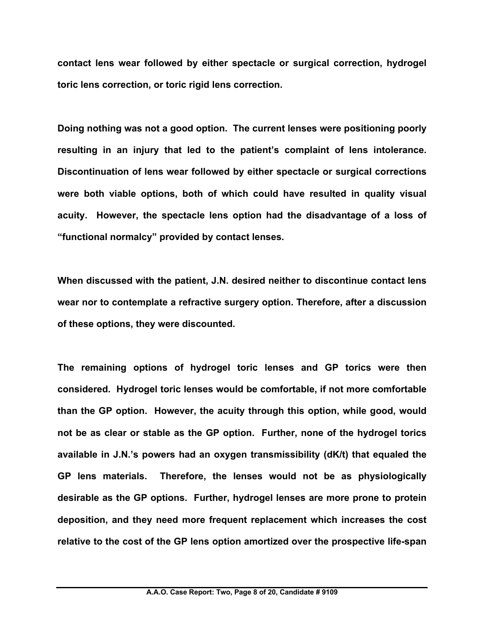**contact lens wear followed by either spectacle or surgical correction, hydrogel toric lens correction, or toric rigid lens correction.**

**Doing nothing was not a good option. The current lenses were positioning poorly resulting in an injury that led to the patient's complaint of lens intolerance. Discontinuation of lens wear followed by either spectacle or surgical corrections were both viable options, both of which could have resulted in quality visual acuity. However, the spectacle lens option had the disadvantage of a loss of "functional normalcy" provided by contact lenses.** 

**When discussed with the patient, J.N. desired neither to discontinue contact lens wear nor to contemplate a refractive surgery option. Therefore, after a discussion of these options, they were discounted.**

**The remaining options of hydrogel toric lenses and GP torics were then considered. Hydrogel toric lenses would be comfortable, if not more comfortable than the GP option. However, the acuity through this option, while good, would not be as clear or stable as the GP option. Further, none of the hydrogel torics available in J.N.'s powers had an oxygen transmissibility (dK/t) that equaled the GP lens materials. Therefore, the lenses would not be as physiologically desirable as the GP options. Further, hydrogel lenses are more prone to protein deposition, and they need more frequent replacement which increases the cost relative to the cost of the GP lens option amortized over the prospective life-span**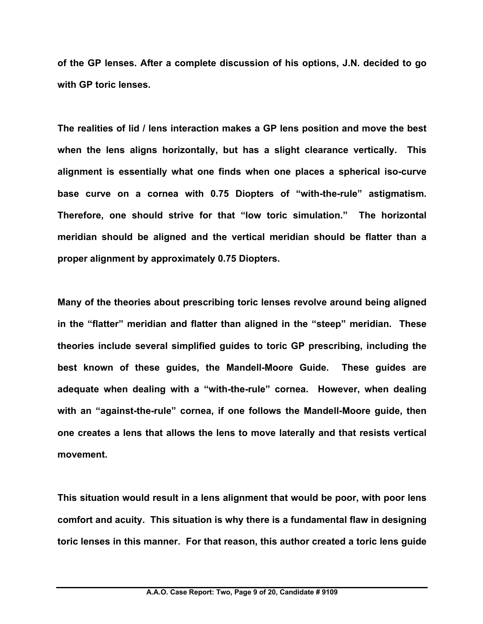**of the GP lenses. After a complete discussion of his options, J.N. decided to go with GP toric lenses.** 

**The realities of lid / lens interaction makes a GP lens position and move the best when the lens aligns horizontally, but has a slight clearance vertically. This alignment is essentially what one finds when one places a spherical iso-curve base curve on a cornea with 0.75 Diopters of "with-the-rule" astigmatism. Therefore, one should strive for that "low toric simulation." The horizontal meridian should be aligned and the vertical meridian should be flatter than a proper alignment by approximately 0.75 Diopters.**

**Many of the theories about prescribing toric lenses revolve around being aligned in the "flatter" meridian and flatter than aligned in the "steep" meridian. These theories include several simplified guides to toric GP prescribing, including the best known of these guides, the Mandell-Moore Guide. These guides are adequate when dealing with a "with-the-rule" cornea. However, when dealing with an "against-the-rule" cornea, if one follows the Mandell-Moore guide, then one creates a lens that allows the lens to move laterally and that resists vertical movement.**

**This situation would result in a lens alignment that would be poor, with poor lens comfort and acuity. This situation is why there is a fundamental flaw in designing toric lenses in this manner. For that reason, this author created a toric lens guide**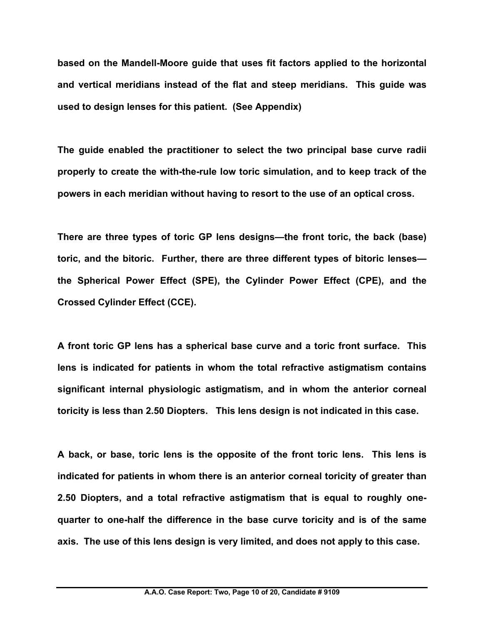**based on the Mandell-Moore guide that uses fit factors applied to the horizontal and vertical meridians instead of the flat and steep meridians. This guide was used to design lenses for this patient. (See Appendix)**

**The guide enabled the practitioner to select the two principal base curve radii properly to create the with-the-rule low toric simulation, and to keep track of the powers in each meridian without having to resort to the use of an optical cross.** 

**There are three types of toric GP lens designs—the front toric, the back (base) toric, and the bitoric. Further, there are three different types of bitoric lenses the Spherical Power Effect (SPE), the Cylinder Power Effect (CPE), and the Crossed Cylinder Effect (CCE).** 

**A front toric GP lens has a spherical base curve and a toric front surface. This lens is indicated for patients in whom the total refractive astigmatism contains significant internal physiologic astigmatism, and in whom the anterior corneal toricity is less than 2.50 Diopters. This lens design is not indicated in this case.**

**A back, or base, toric lens is the opposite of the front toric lens. This lens is indicated for patients in whom there is an anterior corneal toricity of greater than 2.50 Diopters, and a total refractive astigmatism that is equal to roughly onequarter to one-half the difference in the base curve toricity and is of the same axis. The use of this lens design is very limited, and does not apply to this case.**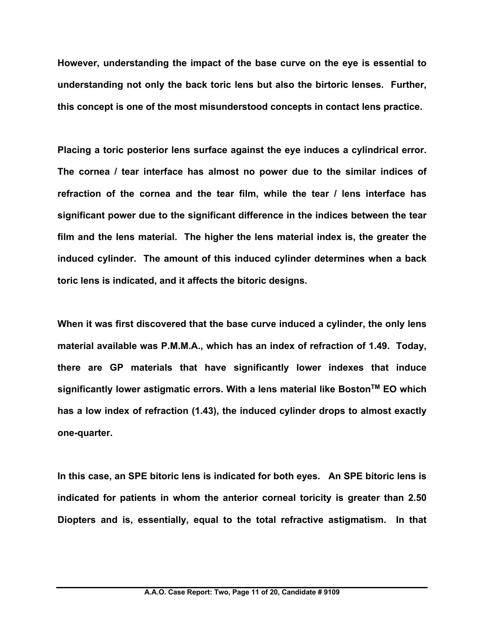**However, understanding the impact of the base curve on the eye is essential to understanding not only the back toric lens but also the birtoric lenses. Further, this concept is one of the most misunderstood concepts in contact lens practice.** 

**Placing a toric posterior lens surface against the eye induces a cylindrical error. The cornea / tear interface has almost no power due to the similar indices of refraction of the cornea and the tear film, while the tear / lens interface has significant power due to the significant difference in the indices between the tear film and the lens material. The higher the lens material index is, the greater the induced cylinder. The amount of this induced cylinder determines when a back toric lens is indicated, and it affects the bitoric designs.**

**When it was first discovered that the base curve induced a cylinder, the only lens material available was P.M.M.A., which has an index of refraction of 1.49. Today, there are GP materials that have significantly lower indexes that induce**  significantly lower astigmatic errors. With a lens material like Boston<sup>™</sup> EO which **has a low index of refraction (1.43), the induced cylinder drops to almost exactly one-quarter.**

**In this case, an SPE bitoric lens is indicated for both eyes. An SPE bitoric lens is indicated for patients in whom the anterior corneal toricity is greater than 2.50 Diopters and is, essentially, equal to the total refractive astigmatism. In that**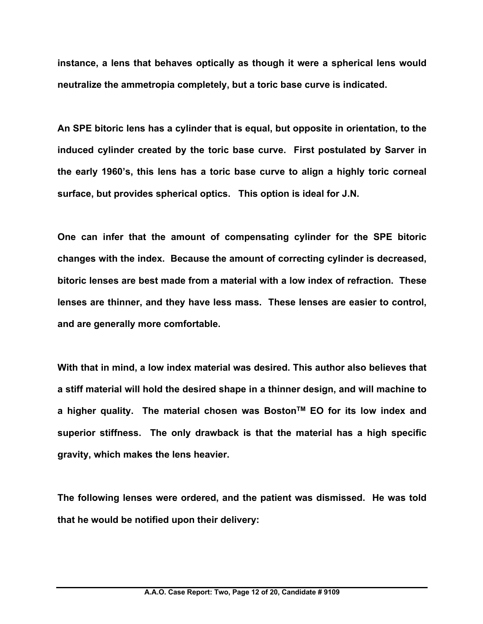**instance, a lens that behaves optically as though it were a spherical lens would neutralize the ammetropia completely, but a toric base curve is indicated.** 

**An SPE bitoric lens has a cylinder that is equal, but opposite in orientation, to the induced cylinder created by the toric base curve. First postulated by Sarver in the early 1960's, this lens has a toric base curve to align a highly toric corneal surface, but provides spherical optics. This option is ideal for J.N.** 

**One can infer that the amount of compensating cylinder for the SPE bitoric changes with the index. Because the amount of correcting cylinder is decreased, bitoric lenses are best made from a material with a low index of refraction. These lenses are thinner, and they have less mass. These lenses are easier to control, and are generally more comfortable.**

**With that in mind, a low index material was desired. This author also believes that a stiff material will hold the desired shape in a thinner design, and will machine to a higher quality. The material chosen was BostonTM EO for its low index and superior stiffness. The only drawback is that the material has a high specific gravity, which makes the lens heavier.**

**The following lenses were ordered, and the patient was dismissed. He was told that he would be notified upon their delivery:**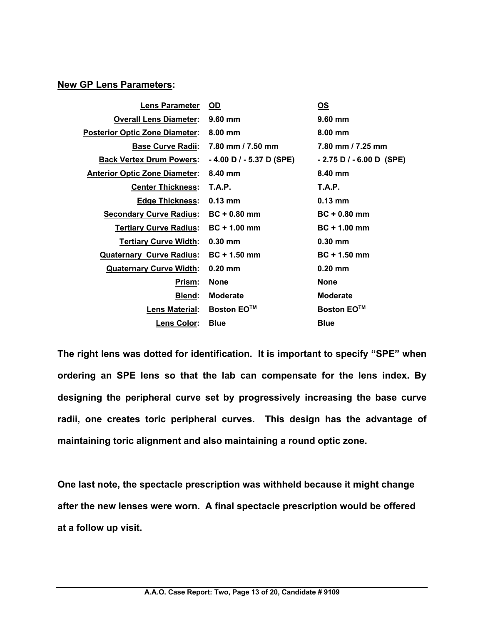#### **New GP Lens Parameters:**

| <b>Lens Parameter</b>                 | <b>OD</b>                   | <u>OS</u>                   |
|---------------------------------------|-----------------------------|-----------------------------|
| <b>Overall Lens Diameter:</b>         | $9.60$ mm                   | $9.60$ mm                   |
| <b>Posterior Optic Zone Diameter:</b> | $8.00$ mm                   | $8.00$ mm                   |
| <b>Base Curve Radii:</b>              | 7.80 mm / 7.50 mm           | 7.80 mm / 7.25 mm           |
| <b>Back Vertex Drum Powers:</b>       | $-4.00$ D $/ -5.37$ D (SPE) | $-2.75$ D / $-6.00$ D (SPE) |
| <b>Anterior Optic Zone Diameter:</b>  | 8.40 mm                     | 8.40 mm                     |
| <b>Center Thickness:</b>              | <b>T.A.P.</b>               | <b>T.A.P.</b>               |
| <u> Edge Thickness:</u>               | $0.13 \text{ mm}$           | $0.13 \text{ mm}$           |
| <b>Secondary Curve Radius:</b>        | $BC + 0.80$ mm              | $BC + 0.80$ mm              |
| <b>Tertiary Curve Radius:</b>         | $BC + 1.00$ mm              | $BC + 1.00$ mm              |
| <b>Tertiary Curve Width:</b>          | $0.30$ mm                   | $0.30$ mm                   |
| <b>Quaternary Curve Radius:</b>       | $BC + 1.50$ mm              | $BC + 1.50$ mm              |
| <b>Quaternary Curve Width:</b>        | $0.20$ mm                   | $0.20$ mm                   |
| Prism:                                | <b>None</b>                 | <b>None</b>                 |
| <b>Blend:</b>                         | <b>Moderate</b>             | <b>Moderate</b>             |
| <b>Lens Material:</b>                 | <b>Boston EO™</b>           | <b>Boston EO™</b>           |
| Lens Color:                           | <b>Blue</b>                 | <b>Blue</b>                 |

**The right lens was dotted for identification. It is important to specify "SPE" when ordering an SPE lens so that the lab can compensate for the lens index. By designing the peripheral curve set by progressively increasing the base curve radii, one creates toric peripheral curves. This design has the advantage of maintaining toric alignment and also maintaining a round optic zone.**

**One last note, the spectacle prescription was withheld because it might change after the new lenses were worn. A final spectacle prescription would be offered at a follow up visit.**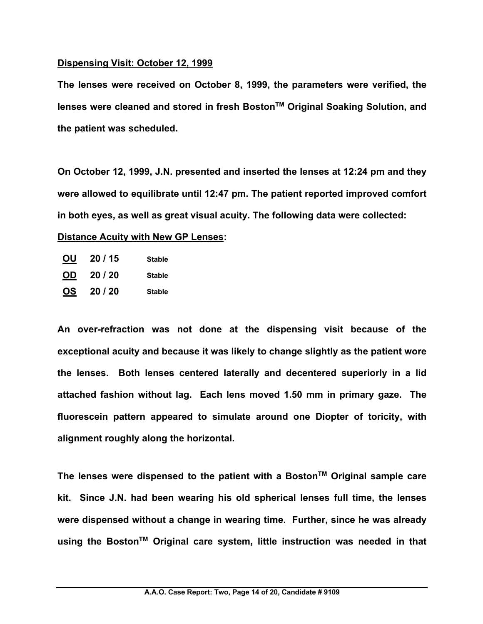#### **Dispensing Visit: October 12, 1999**

**The lenses were received on October 8, 1999, the parameters were verified, the lenses were cleaned and stored in fresh BostonTM Original Soaking Solution, and the patient was scheduled.**

**On October 12, 1999, J.N. presented and inserted the lenses at 12:24 pm and they were allowed to equilibrate until 12:47 pm. The patient reported improved comfort in both eyes, as well as great visual acuity. The following data were collected: Distance Acuity with New GP Lenses:**

**OU 20 / 15 Stable OD 20 / 20 Stable OS 20 / 20 Stable**

**An over-refraction was not done at the dispensing visit because of the exceptional acuity and because it was likely to change slightly as the patient wore the lenses. Both lenses centered laterally and decentered superiorly in a lid attached fashion without lag. Each lens moved 1.50 mm in primary gaze. The fluorescein pattern appeared to simulate around one Diopter of toricity, with alignment roughly along the horizontal.**

**The lenses were dispensed to the patient with a BostonTM Original sample care kit. Since J.N. had been wearing his old spherical lenses full time, the lenses were dispensed without a change in wearing time. Further, since he was already using the BostonTM Original care system, little instruction was needed in that**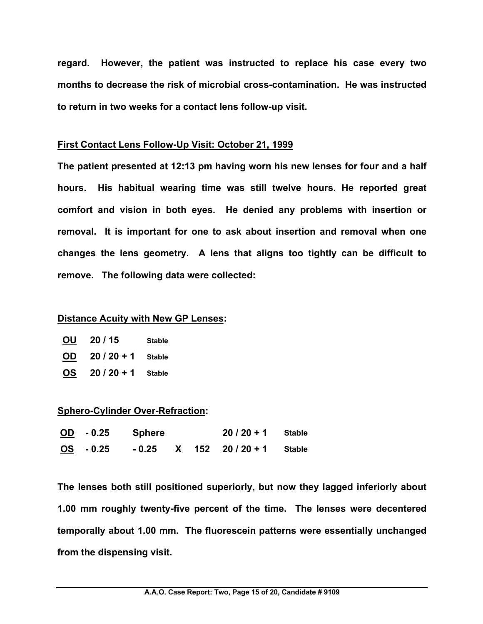**regard. However, the patient was instructed to replace his case every two months to decrease the risk of microbial cross-contamination. He was instructed to return in two weeks for a contact lens follow-up visit.**

#### **First Contact Lens Follow-Up Visit: October 21, 1999**

**The patient presented at 12:13 pm having worn his new lenses for four and a half hours. His habitual wearing time was still twelve hours. He reported great comfort and vision in both eyes. He denied any problems with insertion or removal. It is important for one to ask about insertion and removal when one changes the lens geometry. A lens that aligns too tightly can be difficult to remove. The following data were collected:**

#### **Distance Acuity with New GP Lenses:**

| <u>OU</u> | 20/15       | <b>Stable</b> |
|-----------|-------------|---------------|
| <b>OD</b> | $20/20 + 1$ | <b>Stable</b> |
| <u>OS</u> | $20/20 + 1$ | <b>Stable</b> |

#### **Sphero-Cylinder Over-Refraction:**

| $\underline{OD}$ - 0.25 | Sphere |  | $20/20 + 1$ Stable               |  |
|-------------------------|--------|--|----------------------------------|--|
| OS - 0.25               |        |  | $-0.25$ X 152 20 / 20 + 1 Stable |  |

**The lenses both still positioned superiorly, but now they lagged inferiorly about 1.00 mm roughly twenty-five percent of the time. The lenses were decentered temporally about 1.00 mm. The fluorescein patterns were essentially unchanged from the dispensing visit.**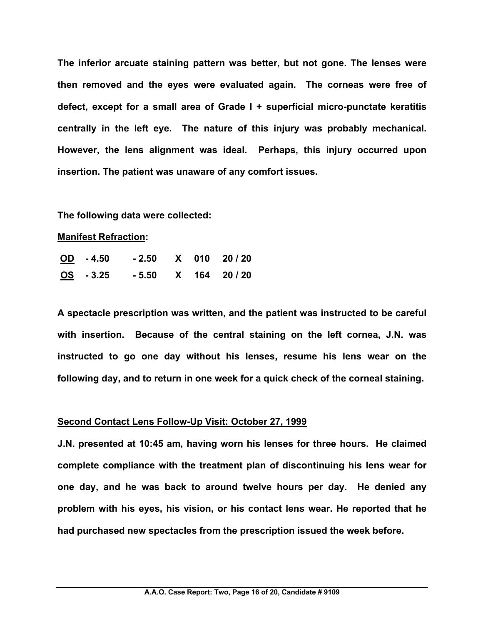**The inferior arcuate staining pattern was better, but not gone. The lenses were then removed and the eyes were evaluated again. The corneas were free of defect, except for a small area of Grade I + superficial micro-punctate keratitis centrally in the left eye. The nature of this injury was probably mechanical. However, the lens alignment was ideal. Perhaps, this injury occurred upon insertion. The patient was unaware of any comfort issues.**

#### **The following data were collected:**

#### **Manifest Refraction:**

| $OD - 4.50$ |  | $-2.50$ X 010 20/20 |
|-------------|--|---------------------|
| $OS - 3.25$ |  | $-5.50$ X 164 20/20 |

**A spectacle prescription was written, and the patient was instructed to be careful with insertion. Because of the central staining on the left cornea, J.N. was instructed to go one day without his lenses, resume his lens wear on the following day, and to return in one week for a quick check of the corneal staining.**

#### **Second Contact Lens Follow-Up Visit: October 27, 1999**

**J.N. presented at 10:45 am, having worn his lenses for three hours. He claimed complete compliance with the treatment plan of discontinuing his lens wear for one day, and he was back to around twelve hours per day. He denied any problem with his eyes, his vision, or his contact lens wear. He reported that he had purchased new spectacles from the prescription issued the week before.**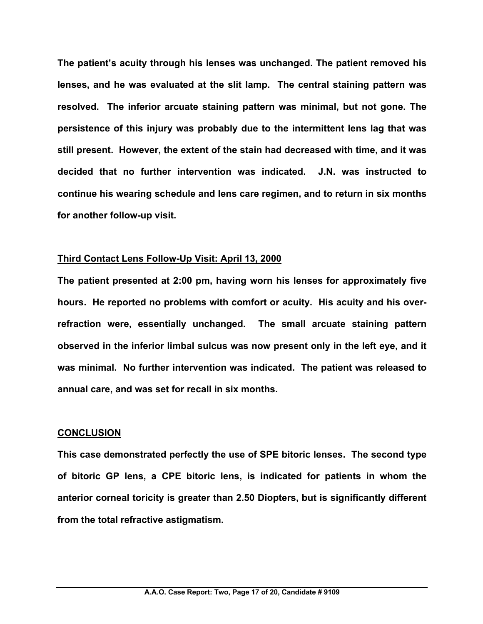**The patient's acuity through his lenses was unchanged. The patient removed his lenses, and he was evaluated at the slit lamp. The central staining pattern was resolved. The inferior arcuate staining pattern was minimal, but not gone. The persistence of this injury was probably due to the intermittent lens lag that was still present. However, the extent of the stain had decreased with time, and it was decided that no further intervention was indicated. J.N. was instructed to continue his wearing schedule and lens care regimen, and to return in six months for another follow-up visit.**

#### **Third Contact Lens Follow-Up Visit: April 13, 2000**

**The patient presented at 2:00 pm, having worn his lenses for approximately five hours. He reported no problems with comfort or acuity. His acuity and his overrefraction were, essentially unchanged. The small arcuate staining pattern observed in the inferior limbal sulcus was now present only in the left eye, and it was minimal. No further intervention was indicated. The patient was released to annual care, and was set for recall in six months.**

#### **CONCLUSION**

**This case demonstrated perfectly the use of SPE bitoric lenses. The second type of bitoric GP lens, a CPE bitoric lens, is indicated for patients in whom the anterior corneal toricity is greater than 2.50 Diopters, but is significantly different from the total refractive astigmatism.**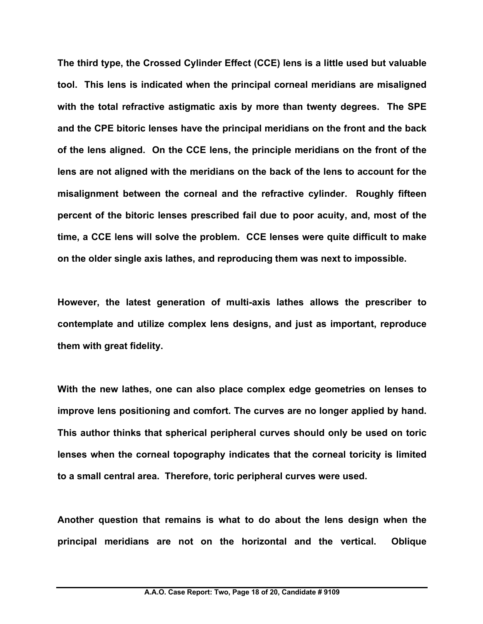**The third type, the Crossed Cylinder Effect (CCE) lens is a little used but valuable tool. This lens is indicated when the principal corneal meridians are misaligned with the total refractive astigmatic axis by more than twenty degrees. The SPE and the CPE bitoric lenses have the principal meridians on the front and the back of the lens aligned. On the CCE lens, the principle meridians on the front of the lens are not aligned with the meridians on the back of the lens to account for the misalignment between the corneal and the refractive cylinder. Roughly fifteen percent of the bitoric lenses prescribed fail due to poor acuity, and, most of the time, a CCE lens will solve the problem. CCE lenses were quite difficult to make on the older single axis lathes, and reproducing them was next to impossible.** 

**However, the latest generation of multi-axis lathes allows the prescriber to contemplate and utilize complex lens designs, and just as important, reproduce them with great fidelity.** 

**With the new lathes, one can also place complex edge geometries on lenses to improve lens positioning and comfort. The curves are no longer applied by hand. This author thinks that spherical peripheral curves should only be used on toric lenses when the corneal topography indicates that the corneal toricity is limited to a small central area. Therefore, toric peripheral curves were used.**

**Another question that remains is what to do about the lens design when the principal meridians are not on the horizontal and the vertical. Oblique**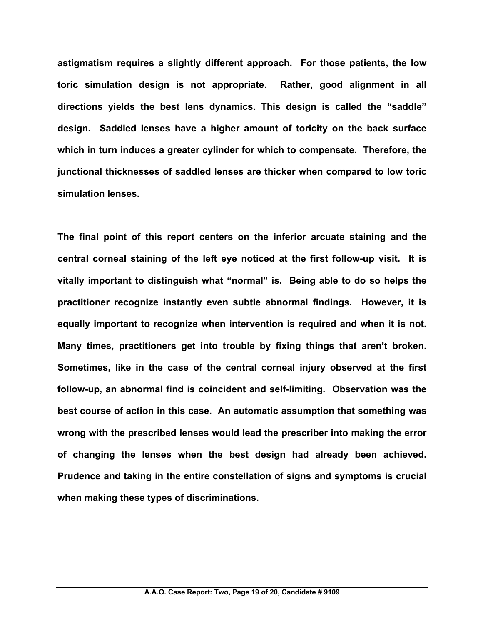**astigmatism requires a slightly different approach. For those patients, the low toric simulation design is not appropriate. Rather, good alignment in all directions yields the best lens dynamics. This design is called the "saddle" design. Saddled lenses have a higher amount of toricity on the back surface which in turn induces a greater cylinder for which to compensate. Therefore, the junctional thicknesses of saddled lenses are thicker when compared to low toric simulation lenses.**

**The final point of this report centers on the inferior arcuate staining and the central corneal staining of the left eye noticed at the first follow-up visit. It is vitally important to distinguish what "normal" is. Being able to do so helps the practitioner recognize instantly even subtle abnormal findings. However, it is equally important to recognize when intervention is required and when it is not. Many times, practitioners get into trouble by fixing things that aren't broken. Sometimes, like in the case of the central corneal injury observed at the first follow-up, an abnormal find is coincident and self-limiting. Observation was the best course of action in this case. An automatic assumption that something was wrong with the prescribed lenses would lead the prescriber into making the error of changing the lenses when the best design had already been achieved. Prudence and taking in the entire constellation of signs and symptoms is crucial when making these types of discriminations.**